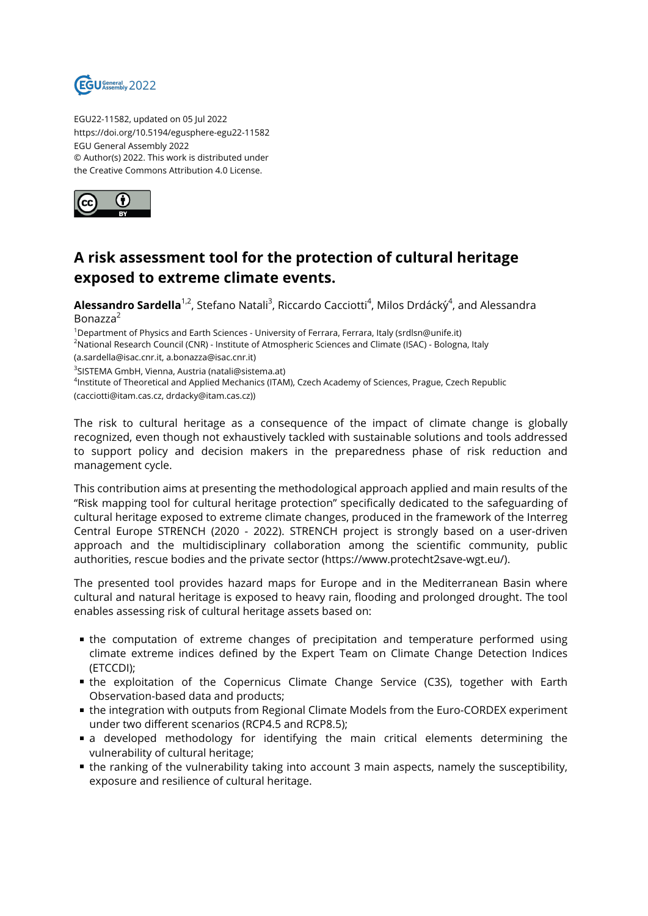

EGU22-11582, updated on 05 Jul 2022 https://doi.org/10.5194/egusphere-egu22-11582 EGU General Assembly 2022 © Author(s) 2022. This work is distributed under the Creative Commons Attribution 4.0 License.



## **A risk assessment tool for the protection of cultural heritage exposed to extreme climate events.**

**Alessandro Sardella**<sup>1,2</sup>, Stefano Natali<sup>3</sup>, Riccardo Cacciotti<sup>4</sup>, Milos Drdácký<sup>4</sup>, and Alessandra Bonazza<sup>2</sup>

<sup>1</sup>Department of Physics and Earth Sciences - University of Ferrara, Ferrara, Italy (srdlsn@unife.it) <sup>2</sup>National Research Council (CNR) - Institute of Atmospheric Sciences and Climate (ISAC) - Bologna, Italy (a.sardella@isac.cnr.it, a.bonazza@isac.cnr.it)

<sup>3</sup>SISTEMA GmbH, Vienna, Austria (natali@sistema.at)

4 Institute of Theoretical and Applied Mechanics (ITAM), Czech Academy of Sciences, Prague, Czech Republic (cacciotti@itam.cas.cz, drdacky@itam.cas.cz))

The risk to cultural heritage as a consequence of the impact of climate change is globally recognized, even though not exhaustively tackled with sustainable solutions and tools addressed to support policy and decision makers in the preparedness phase of risk reduction and management cycle.

This contribution aims at presenting the methodological approach applied and main results of the "Risk mapping tool for cultural heritage protection" specifically dedicated to the safeguarding of cultural heritage exposed to extreme climate changes, produced in the framework of the Interreg Central Europe STRENCH (2020 - 2022). STRENCH project is strongly based on a user-driven approach and the multidisciplinary collaboration among the scientific community, public authorities, rescue bodies and the private sector (https://www.protecht2save-wgt.eu/).

The presented tool provides hazard maps for Europe and in the Mediterranean Basin where cultural and natural heritage is exposed to heavy rain, flooding and prolonged drought. The tool enables assessing risk of cultural heritage assets based on:

- the computation of extreme changes of precipitation and temperature performed using climate extreme indices defined by the Expert Team on Climate Change Detection Indices (ETCCDI);
- the exploitation of the Copernicus Climate Change Service (C3S), together with Earth Observation-based data and products;
- the integration with outputs from Regional Climate Models from the Euro-CORDEX experiment under two different scenarios (RCP4.5 and RCP8.5);
- a developed methodology for identifying the main critical elements determining the vulnerability of cultural heritage;
- the ranking of the vulnerability taking into account 3 main aspects, namely the susceptibility, exposure and resilience of cultural heritage.